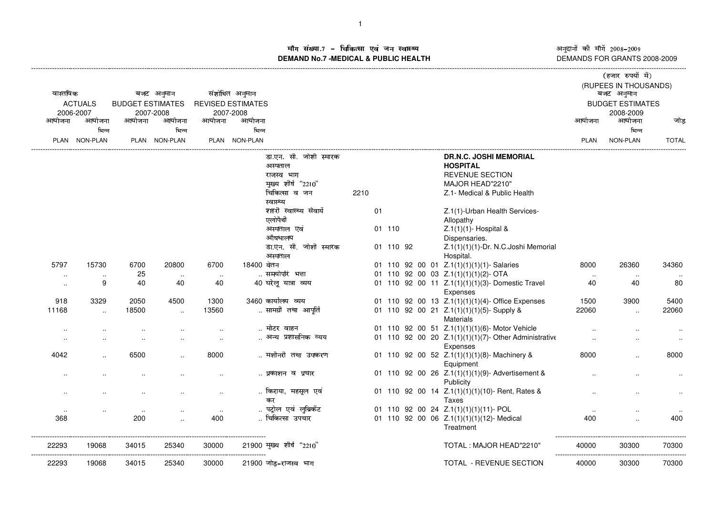ाँग संख्या.7 – चिकित्सा एवं जन स्वास्थ्य<br>IAND No.7 MEDICAL & DURLIC HEALTH **DEMAND No.7 -MEDICAL & PUBLIC HEALTH**

----------------------------------------------------------------------------------------------------------------------------------------------------------------------------------------------------------------------------------------------------------------------------------------------

अनुदानों की माँगें 2008–2009<br>DEMANDS FOR GRANTS 2008-2009

 $\sim$  ,  $\sim$   $\sim$ 

|                      |                |                         |               |           |                          |                          |      |        |           |  |  |                                                       |                                     | (हजार रुपया म)          |                     |  |
|----------------------|----------------|-------------------------|---------------|-----------|--------------------------|--------------------------|------|--------|-----------|--|--|-------------------------------------------------------|-------------------------------------|-------------------------|---------------------|--|
| वास्तविक             |                |                         | बजट अनुमान    |           | संशोधित अनुमान           |                          |      |        |           |  |  |                                                       | (RUPEES IN THOUSANDS)<br>बजट अनुमान |                         |                     |  |
|                      | <b>ACTUALS</b> | <b>BUDGET ESTIMATES</b> |               |           | <b>REVISED ESTIMATES</b> |                          |      |        |           |  |  |                                                       |                                     | <b>BUDGET ESTIMATES</b> |                     |  |
| 2006-2007            |                |                         | 2007-2008     |           | 2007-2008                |                          |      |        |           |  |  |                                                       |                                     | 2008-2009               |                     |  |
| आयोजना               | आयोजना         | आयोजना                  | आयोजना        | आयोजना    | आयोजना                   |                          |      |        |           |  |  |                                                       | आयोजना                              | आयोजना                  | जोड                 |  |
|                      | भिन्न          |                         | भिन्न         |           | भिन्न                    |                          |      |        |           |  |  |                                                       |                                     | भिन्न                   |                     |  |
|                      | PLAN NON-PLAN  |                         | PLAN NON-PLAN |           | PLAN NON-PLAN            |                          |      |        |           |  |  |                                                       | <b>PLAN</b>                         | NON-PLAN                | <b>TOTAL</b>        |  |
|                      |                |                         |               |           |                          |                          |      |        |           |  |  |                                                       |                                     |                         |                     |  |
|                      |                |                         |               |           |                          | डा.एन. सी. जोशी स्मारक   |      |        |           |  |  | <b>DR.N.C. JOSHI MEMORIAL</b>                         |                                     |                         |                     |  |
|                      |                |                         |               |           |                          | अस्पताल                  |      |        |           |  |  | <b>HOSPITAL</b>                                       |                                     |                         |                     |  |
|                      |                |                         |               |           |                          | राजस्व भाग               |      |        |           |  |  | <b>REVENUE SECTION</b>                                |                                     |                         |                     |  |
|                      |                |                         |               |           |                          | मुख्य शीर्ष "2210"       |      |        |           |  |  | MAJOR HEAD"2210"                                      |                                     |                         |                     |  |
|                      |                |                         |               |           |                          | चिकित्सा व जन            | 2210 |        |           |  |  | Z.1- Medical & Public Health                          |                                     |                         |                     |  |
|                      |                |                         |               |           |                          | स्वास्थ्य                |      |        |           |  |  |                                                       |                                     |                         |                     |  |
|                      |                |                         |               |           |                          | शहरी स्वास्थ्य सेवायेँ   |      | 01     |           |  |  | Z.1(1)-Urban Health Services-                         |                                     |                         |                     |  |
|                      |                |                         |               |           |                          | एलोपैथी                  |      |        |           |  |  | Allopathy                                             |                                     |                         |                     |  |
|                      |                |                         |               |           |                          | अस्पताल एवं              |      | 01 110 |           |  |  | Z.1(1)(1)- Hospital &                                 |                                     |                         |                     |  |
|                      |                |                         |               |           |                          | औषधालय                   |      |        |           |  |  | Dispensaries.                                         |                                     |                         |                     |  |
|                      |                |                         |               |           |                          | डा.एन. सी. जोशी स्मारक   |      |        | 01 110 92 |  |  | Z.1(1)(1)(1)-Dr. N.C.Joshi Memorial                   |                                     |                         |                     |  |
|                      |                |                         |               |           |                          | अस्पताल                  |      |        |           |  |  | Hospital.                                             |                                     |                         |                     |  |
| 5797                 | 15730          | 6700                    | 20800         | 6700      | 18400 वेतन               |                          |      |        |           |  |  | 01 110 92 00 01 Z.1(1)(1)(1)(1)-Salaries              | 8000                                | 26360                   | 34360               |  |
| $\ddot{\phantom{a}}$ | $\sim$         | 25                      | $\sim$        | $\sim$    |                          | समयोपरि भत्ता            |      |        |           |  |  | 01 110 92 00 03 Z.1(1)(1)(1)(2)-OTA                   | $\sim$                              | $\cdot\cdot$            |                     |  |
| $\ddotsc$            | 9              | 40                      | 40            | 40        |                          | 40 घरेलू यात्रा व्यय     |      |        |           |  |  | 01 110 92 00 11 Z.1(1)(1)(1)(3)- Domestic Travel      | 40                                  | 40                      | 80                  |  |
|                      |                |                         |               |           |                          |                          |      |        |           |  |  | Expenses                                              |                                     |                         |                     |  |
| 918                  | 3329           | 2050                    | 4500          | 1300      |                          | 3460 कार्यालय व्यय       |      |        |           |  |  | 01 110 92 00 13 Z.1(1)(1)(1)(4)- Office Expenses      | 1500                                | 3900                    | 5400                |  |
| 11168                | $\ddotsc$      | 18500                   | $\ddotsc$     | 13560     |                          | सामग्री तथा आपूर्ति      |      |        |           |  |  | 01 110 92 00 21 Z.1(1)(1)(1)(5)-Supply &              | 22060                               | $\ddotsc$               | 22060               |  |
|                      |                |                         |               |           |                          |                          |      |        |           |  |  | <b>Materials</b>                                      |                                     |                         |                     |  |
| $\ddotsc$            |                |                         |               | $\ddotsc$ |                          | मोटर वाहन                |      |        |           |  |  | 01 110 92 00 51 Z.1(1)(1)(1)(6)- Motor Vehicle        |                                     |                         |                     |  |
|                      |                |                         |               |           |                          | अन्य प्रशासनिक व्यय      |      |        |           |  |  | 01 110 92 00 20 Z.1(1)(1)(1)(7)- Other Administrative |                                     |                         |                     |  |
|                      |                |                         |               |           |                          |                          |      |        |           |  |  | Expenses                                              |                                     |                         |                     |  |
| 4042                 |                | 6500                    | $\cdot$       | 8000      |                          | मशीनरी तथा उपकरण         |      |        |           |  |  | 01 110 92 00 52 Z.1(1)(1)(1)(8)- Machinery &          | 8000                                |                         | 8000                |  |
|                      |                |                         |               |           |                          |                          |      |        |           |  |  | Equipment                                             |                                     |                         |                     |  |
|                      |                |                         |               |           |                          | प्रकाशन व प्रचार         |      |        |           |  |  | 01 110 92 00 26 Z.1(1)(1)(1)(9)-Advertisement &       |                                     |                         |                     |  |
|                      |                |                         |               |           |                          |                          |      |        |           |  |  | Publicity                                             |                                     |                         |                     |  |
|                      |                |                         |               | $\sim$    |                          | किराया, महसुल एवं        |      |        |           |  |  | 01 110 92 00 14 Z.1(1)(1)(1)(10)- Rent, Rates &       |                                     |                         |                     |  |
|                      |                |                         |               |           |                          | कर                       |      |        |           |  |  | Taxes                                                 |                                     |                         |                     |  |
| $\cdots$             |                | $\sim$                  |               | $\sim$    |                          | पट्रोल एवं लुब्रिकेंट    |      |        |           |  |  | 01 110 92 00 24 Z.1(1)(1)(1)(11)- POL                 | $\sim$                              |                         |                     |  |
| 368                  |                | 200                     |               | 400       |                          | चिकित्सा उपचार           |      |        |           |  |  | 01 110 92 00 06 Z.1(1)(1)(1)(12)- Medical             | 400                                 |                         | 400                 |  |
|                      |                |                         |               |           |                          |                          |      |        |           |  |  | Treatment                                             |                                     |                         |                     |  |
|                      |                |                         |               |           |                          |                          |      |        |           |  |  |                                                       |                                     |                         |                     |  |
| 22293                | 19068          | 34015                   | 25340         | 30000     |                          | 21900 मुख्य शीर्ष "2210" |      |        |           |  |  | TOTAL: MAJOR HEAD"2210"                               | 40000                               | 30300                   | 70300<br>---------- |  |
| 22293                | 19068          | 34015                   | 25340         | 30000     |                          | 21900 जोड़-राजस्व भाग    |      |        |           |  |  | TOTAL - REVENUE SECTION                               | 40000                               | 30300                   | 70300               |  |
|                      |                |                         |               |           |                          |                          |      |        |           |  |  |                                                       |                                     |                         |                     |  |